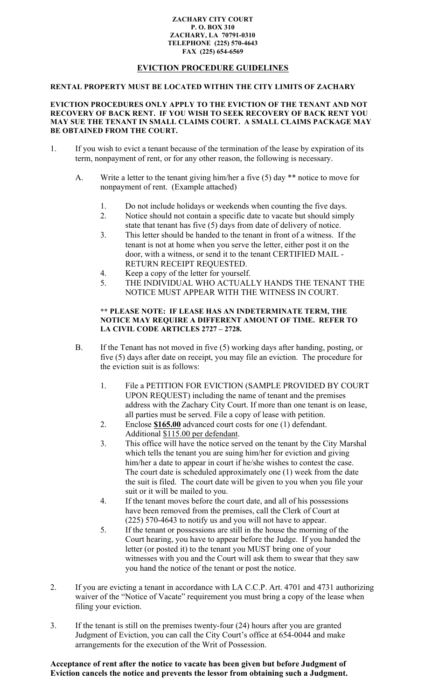#### **ZACHARY CITY COURT P. O. BOX 310 ZACHARY, LA 70791-0310 TELEPHONE (225) 570-4643 FAX (225) 654-6569**

## **EVICTION PROCEDURE GUIDELINES**

#### **RENTAL PROPERTY MUST BE LOCATED WITHIN THE CITY LIMITS OF ZACHARY**

#### **EVICTION PROCEDURES ONLY APPLY TO THE EVICTION OF THE TENANT AND NOT RECOVERY OF BACK RENT. IF YOU WISH TO SEEK RECOVERY OF BACK RENT YOU MAY SUE THE TENANT IN SMALL CLAIMS COURT. A SMALL CLAIMS PACKAGE MAY BE OBTAINED FROM THE COURT.**

- 1. If you wish to evict a tenant because of the termination of the lease by expiration of its term, nonpayment of rent, or for any other reason, the following is necessary.
	- A. Write a letter to the tenant giving him/her a five (5) day \*\* notice to move for nonpayment of rent. (Example attached)
		- 1. Do not include holidays or weekends when counting the five days.
		- 2. Notice should not contain a specific date to vacate but should simply state that tenant has five (5) days from date of delivery of notice.
		- 3. This letter should be handed to the tenant in front of a witness. If the tenant is not at home when you serve the letter, either post it on the door, with a witness, or send it to the tenant CERTIFIED MAIL - RETURN RECEIPT REQUESTED.
		- 4. Keep a copy of the letter for yourself.
		- 5. THE INDIVIDUAL WHO ACTUALLY HANDS THE TENANT THE NOTICE MUST APPEAR WITH THE WITNESS IN COURT.

#### **\*\* PLEASE NOTE: IF LEASE HAS AN INDETERMINATE TERM, THE NOTICE MAY REQUIRE A DIFFERENT AMOUNT OF TIME. REFER TO LA CIVIL CODE ARTICLES 2727 – 2728.**

- B. If the Tenant has not moved in five (5) working days after handing, posting, or five (5) days after date on receipt, you may file an eviction. The procedure for the eviction suit is as follows:
	- 1. File a PETITION FOR EVICTION (SAMPLE PROVIDED BY COURT UPON REQUEST) including the name of tenant and the premises address with the Zachary City Court. If more than one tenant is on lease, all parties must be served. File a copy of lease with petition.
	- 2. Enclose **\$165.00** advanced court costs for one (1) defendant. Additional \$115.00 per defendant.
	- 3. This office will have the notice served on the tenant by the City Marshal which tells the tenant you are suing him/her for eviction and giving him/her a date to appear in court if he/she wishes to contest the case. The court date is scheduled approximately one (1) week from the date the suit is filed. The court date will be given to you when you file your suit or it will be mailed to you.
	- 4. If the tenant moves before the court date, and all of his possessions have been removed from the premises, call the Clerk of Court at (225) 570-4643 to notify us and you will not have to appear.
	- 5. If the tenant or possessions are still in the house the morning of the Court hearing, you have to appear before the Judge. If you handed the letter (or posted it) to the tenant you MUST bring one of your witnesses with you and the Court will ask them to swear that they saw you hand the notice of the tenant or post the notice.
- 2. If you are evicting a tenant in accordance with LA C.C.P. Art. 4701 and 4731 authorizing waiver of the "Notice of Vacate" requirement you must bring a copy of the lease when filing your eviction.
- 3. If the tenant is still on the premises twenty-four (24) hours after you are granted Judgment of Eviction, you can call the City Court's office at 654-0044 and make arrangements for the execution of the Writ of Possession.

**Acceptance of rent after the notice to vacate has been given but before Judgment of Eviction cancels the notice and prevents the lessor from obtaining such a Judgment.**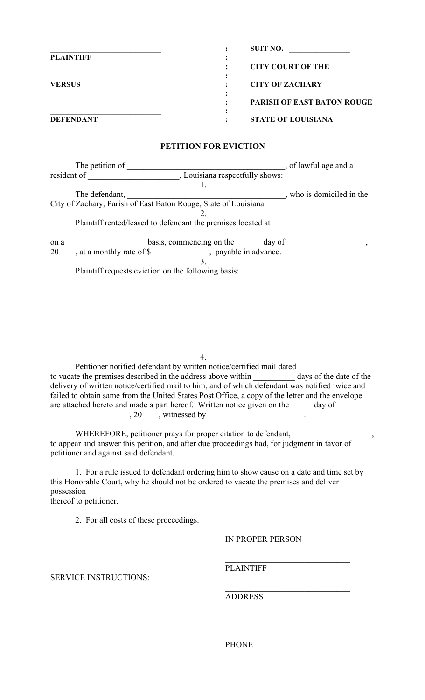|                  | <b>SUIT NO.</b>                   |
|------------------|-----------------------------------|
| <b>PLAINTIFF</b> |                                   |
|                  | <b>CITY COURT OF THE</b>          |
|                  |                                   |
| <b>VERSUS</b>    | <b>CITY OF ZACHARY</b>            |
|                  |                                   |
|                  | <b>PARISH OF EAST BATON ROUGE</b> |
|                  | ٠                                 |
| <b>DEFENDANT</b> | <b>STATE OF LOUISIANA</b><br>٠    |

## **PETITION FOR EVICTION**

| The petition of                                                  |                                                              | of lawful age and a       |
|------------------------------------------------------------------|--------------------------------------------------------------|---------------------------|
| resident of                                                      | , Louisiana respectfully shows:                              |                           |
|                                                                  |                                                              |                           |
| The defendant,                                                   |                                                              | , who is domiciled in the |
| City of Zachary, Parish of East Baton Rouge, State of Louisiana. |                                                              |                           |
|                                                                  |                                                              |                           |
|                                                                  | Plaintiff rented/leased to defendant the premises located at |                           |
| on a                                                             | basis, commencing on the<br>day of                           |                           |
| , at a monthly rate of \$<br>20                                  | , payable in advance.                                        |                           |
|                                                                  |                                                              |                           |
| Plaintiff requests eviction on the following basis:              |                                                              |                           |

4.

Petitioner notified defendant by written notice/certified mail dated to vacate the premises described in the address above within \_\_\_\_\_\_\_\_\_\_ days of the date of the delivery of written notice/certified mail to him, and of which defendant was notified twice and failed to obtain same from the United States Post Office, a copy of the letter and the envelope are attached hereto and made a part hereof. Written notice given on the \_\_\_\_\_ day of  $\frac{20}{\sqrt{25}}$ , witnessed by  $\frac{1}{\sqrt{25}}$ 

WHEREFORE, petitioner prays for proper citation to defendant, to appear and answer this petition, and after due proceedings had, for judgment in favor of petitioner and against said defendant.

1. For a rule issued to defendant ordering him to show cause on a date and time set by this Honorable Court, why he should not be ordered to vacate the premises and deliver possession

 $\mathcal{L}_\text{max}$  and the contract of the contract of the contract of the contract of the contract of the contract of

thereof to petitioner.

2. For all costs of these proceedings.

## IN PROPER PERSON

 $\mathcal{L}_\text{max}$  , where  $\mathcal{L}_\text{max}$  and  $\mathcal{L}_\text{max}$  and  $\mathcal{L}_\text{max}$ 

 $\mathcal{L}_\text{max}$ 

SERVICE INSTRUCTIONS:

**PLAINTIFF** 

\_\_\_\_\_\_\_\_\_\_\_\_\_\_\_\_\_\_\_\_\_\_\_\_\_\_\_\_\_\_ ADDRESS

 $\mathcal{L}_\text{max}$  , and the contribution of the contribution of the contribution of the contribution of the contribution of the contribution of the contribution of the contribution of the contribution of the contribution of t PHONE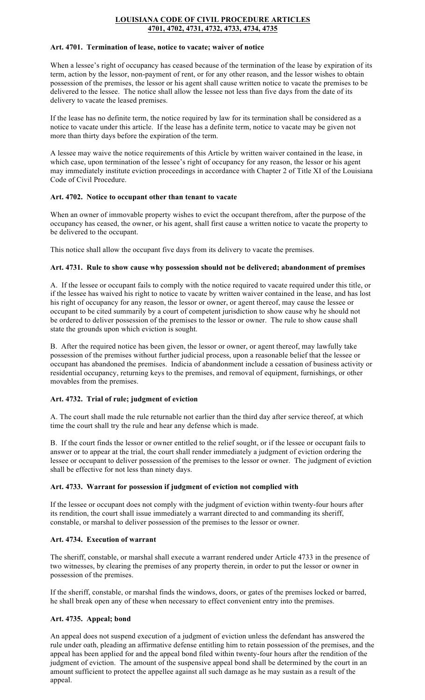#### **LOUISIANA CODE OF CIVIL PROCEDURE ARTICLES 4701, 4702, 4731, 4732, 4733, 4734, 4735**

#### **Art. 4701. Termination of lease, notice to vacate; waiver of notice**

When a lessee's right of occupancy has ceased because of the termination of the lease by expiration of its term, action by the lessor, non-payment of rent, or for any other reason, and the lessor wishes to obtain possession of the premises, the lessor or his agent shall cause written notice to vacate the premises to be delivered to the lessee. The notice shall allow the lessee not less than five days from the date of its delivery to vacate the leased premises.

If the lease has no definite term, the notice required by law for its termination shall be considered as a notice to vacate under this article. If the lease has a definite term, notice to vacate may be given not more than thirty days before the expiration of the term.

A lessee may waive the notice requirements of this Article by written waiver contained in the lease, in which case, upon termination of the lessee's right of occupancy for any reason, the lessor or his agent may immediately institute eviction proceedings in accordance with Chapter 2 of Title XI of the Louisiana Code of Civil Procedure.

### **Art. 4702. Notice to occupant other than tenant to vacate**

When an owner of immovable property wishes to evict the occupant therefrom, after the purpose of the occupancy has ceased, the owner, or his agent, shall first cause a written notice to vacate the property to be delivered to the occupant.

This notice shall allow the occupant five days from its delivery to vacate the premises.

## **Art. 4731. Rule to show cause why possession should not be delivered; abandonment of premises**

A. If the lessee or occupant fails to comply with the notice required to vacate required under this title, or if the lessee has waived his right to notice to vacate by written waiver contained in the lease, and has lost his right of occupancy for any reason, the lessor or owner, or agent thereof, may cause the lessee or occupant to be cited summarily by a court of competent jurisdiction to show cause why he should not be ordered to deliver possession of the premises to the lessor or owner. The rule to show cause shall state the grounds upon which eviction is sought.

B. After the required notice has been given, the lessor or owner, or agent thereof, may lawfully take possession of the premises without further judicial process, upon a reasonable belief that the lessee or occupant has abandoned the premises. Indicia of abandonment include a cessation of business activity or residential occupancy, returning keys to the premises, and removal of equipment, furnishings, or other movables from the premises.

## **Art. 4732. Trial of rule; judgment of eviction**

A. The court shall made the rule returnable not earlier than the third day after service thereof, at which time the court shall try the rule and hear any defense which is made.

B. If the court finds the lessor or owner entitled to the relief sought, or if the lessee or occupant fails to answer or to appear at the trial, the court shall render immediately a judgment of eviction ordering the lessee or occupant to deliver possession of the premises to the lessor or owner. The judgment of eviction shall be effective for not less than ninety days.

#### **Art. 4733. Warrant for possession if judgment of eviction not complied with**

If the lessee or occupant does not comply with the judgment of eviction within twenty-four hours after its rendition, the court shall issue immediately a warrant directed to and commanding its sheriff, constable, or marshal to deliver possession of the premises to the lessor or owner.

#### **Art. 4734. Execution of warrant**

The sheriff, constable, or marshal shall execute a warrant rendered under Article 4733 in the presence of two witnesses, by clearing the premises of any property therein, in order to put the lessor or owner in possession of the premises.

If the sheriff, constable, or marshal finds the windows, doors, or gates of the premises locked or barred, he shall break open any of these when necessary to effect convenient entry into the premises.

## **Art. 4735. Appeal; bond**

An appeal does not suspend execution of a judgment of eviction unless the defendant has answered the rule under oath, pleading an affirmative defense entitling him to retain possession of the premises, and the appeal has been applied for and the appeal bond filed within twenty-four hours after the rendition of the judgment of eviction. The amount of the suspensive appeal bond shall be determined by the court in an amount sufficient to protect the appellee against all such damage as he may sustain as a result of the appeal.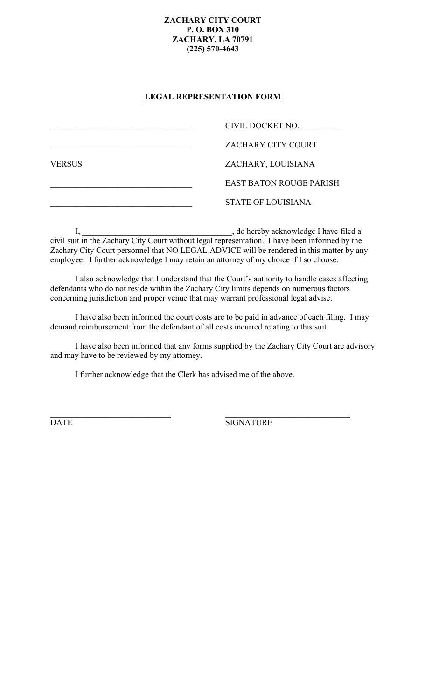## **ZACHARY CITY COURT P. O. BOX 310 ZACHARY, LA 70791 (225) 570-4643**

## **LEGAL REPRESENTATION FORM**

|               | CIVIL DOCKET NO.               |
|---------------|--------------------------------|
|               | <b>ZACHARY CITY COURT</b>      |
| <b>VERSUS</b> | ZACHARY, LOUISIANA             |
|               | <b>EAST BATON ROUGE PARISH</b> |
|               | <b>STATE OF LOUISIANA</b>      |

I, \_\_\_\_\_\_\_\_\_\_\_\_\_\_\_\_\_\_\_\_\_\_\_\_\_\_\_\_\_\_\_\_\_\_\_\_, do hereby acknowledge I have filed a civil suit in the Zachary City Court without legal representation. I have been informed by the Zachary City Court personnel that NO LEGAL ADVICE will be rendered in this matter by any employee. I further acknowledge I may retain an attorney of my choice if I so choose.

I also acknowledge that I understand that the Court's authority to handle cases affecting defendants who do not reside within the Zachary City limits depends on numerous factors concerning jurisdiction and proper venue that may warrant professional legal advise.

I have also been informed the court costs are to be paid in advance of each filing. I may demand reimbursement from the defendant of all costs incurred relating to this suit.

I have also been informed that any forms supplied by the Zachary City Court are advisory and may have to be reviewed by my attorney.

I further acknowledge that the Clerk has advised me of the above.

 $\mathcal{L}_\text{max}$  , and the contribution of the contribution of the contribution of the contribution of the contribution of the contribution of the contribution of the contribution of the contribution of the contribution of t

DATE SIGNATURE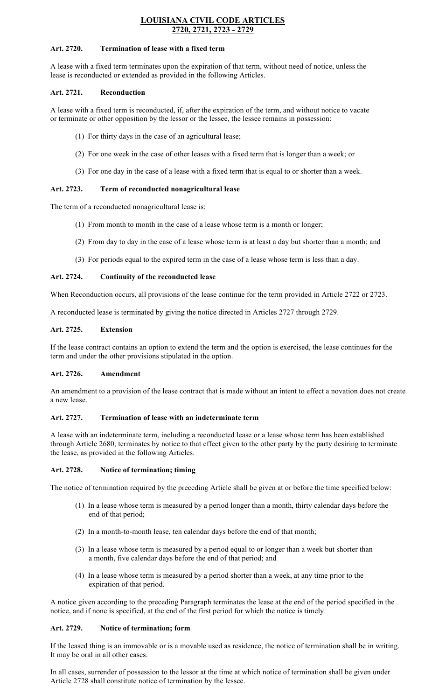## **LOUISIANA CIVIL CODE ARTICLES 2720, 2721, 2723 - 2729**

#### **Art. 2720. Termination of lease with a fixed term**

A lease with a fixed term terminates upon the expiration of that term, without need of notice, unless the lease is reconducted or extended as provided in the following Articles.

#### **Art. 2721. Reconduction**

A lease with a fixed term is reconducted, if, after the expiration of the term, and without notice to vacate or terminate or other opposition by the lessor or the lessee, the lessee remains in possession:

- (1) For thirty days in the case of an agricultural lease;
- (2) For one week in the case of other leases with a fixed term that is longer than a week; or
- (3) For one day in the case of a lease with a fixed term that is equal to or shorter than a week.

## **Art. 2723. Term of reconducted nonagricultural lease**

The term of a reconducted nonagricultural lease is:

- (1) From month to month in the case of a lease whose term is a month or longer;
- (2) From day to day in the case of a lease whose term is at least a day but shorter than a month; and
- (3) For periods equal to the expired term in the case of a lease whose term is less than a day.

### **Art. 2724. Continuity of the reconducted lease**

When Reconduction occurs, all provisions of the lease continue for the term provided in Article 2722 or 2723.

A reconducted lease is terminated by giving the notice directed in Articles 2727 through 2729.

### **Art. 2725. Extension**

If the lease contract contains an option to extend the term and the option is exercised, the lease continues for the term and under the other provisions stipulated in the option.

#### **Art. 2726. Amendment**

An amendment to a provision of the lease contract that is made without an intent to effect a novation does not create a new lease.

### **Art. 2727. Termination of lease with an indeterminate term**

A lease with an indeterminate term, including a reconducted lease or a lease whose term has been established through Article 2680, terminates by notice to that effect given to the other party by the party desiring to terminate the lease, as provided in the following Articles.

#### **Art. 2728. Notice of termination; timing**

The notice of termination required by the preceding Article shall be given at or before the time specified below:

- (1) In a lease whose term is measured by a period longer than a month, thirty calendar days before the end of that period;
- (2) In a month-to-month lease, ten calendar days before the end of that month;
- (3) In a lease whose term is measured by a period equal to or longer than a week but shorter than a month, five calendar days before the end of that period; and
- (4) In a lease whose term is measured by a period shorter than a week, at any time prior to the expiration of that period.

A notice given according to the preceding Paragraph terminates the lease at the end of the period specified in the notice, and if none is specified, at the end of the first period for which the notice is timely.

## **Art. 2729. Notice of termination; form**

If the leased thing is an immovable or is a movable used as residence, the notice of termination shall be in writing. It may be oral in all other cases.

In all cases, surrender of possession to the lessor at the time at which notice of termination shall be given under Article 2728 shall constitute notice of termination by the lessee.